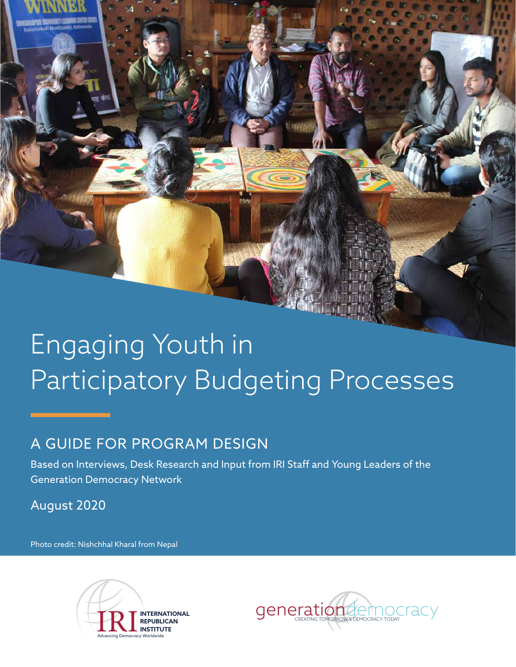# Engaging Youth in Participatory Budgeting Processes

### A GUIDE FOR PROGRAM DESIGN

Based on Interviews, Desk Research and Input from IRI Staff and Young Leaders of the Generation Democracy Network

August 2020

Photo credit: Nishchhal Kharal from Nepal



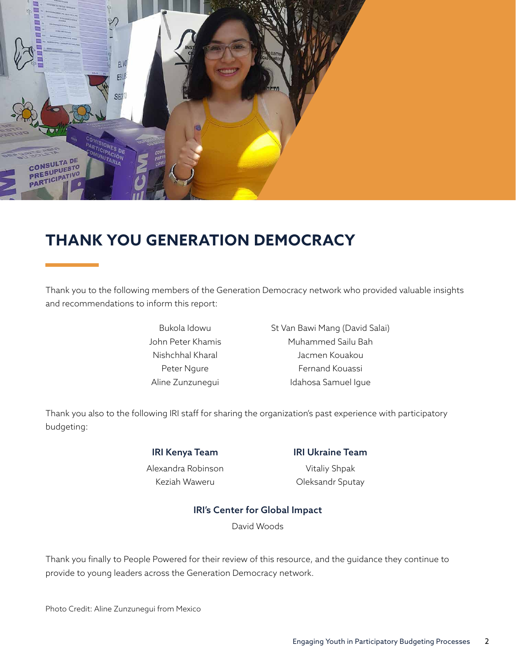

# **THANK YOU GENERATION DEMOCRACY**

Thank you to the following members of the Generation Democracy network who provided valuable insights and recommendations to inform this report:

> Bukola Idowu John Peter Khamis Nishchhal Kharal Peter Ngure Aline Zunzunegui

St Van Bawi Mang (David Salai) Muhammed Sailu Bah Jacmen Kouakou Fernand Kouassi Idahosa Samuel Igue

Thank you also to the following IRI staff for sharing the organization's past experience with participatory budgeting:

> IRI Kenya Team Alexandra Robinson

> > Keziah Waweru

IRI Ukraine Team

Vitaliy Shpak Oleksandr Sputay

#### IRI's Center for Global Impact

David Woods

Thank you finally to People Powered for their review of this resource, and the guidance they continue to provide to young leaders across the Generation Democracy network.

Photo Credit: Aline Zunzunegui from Mexico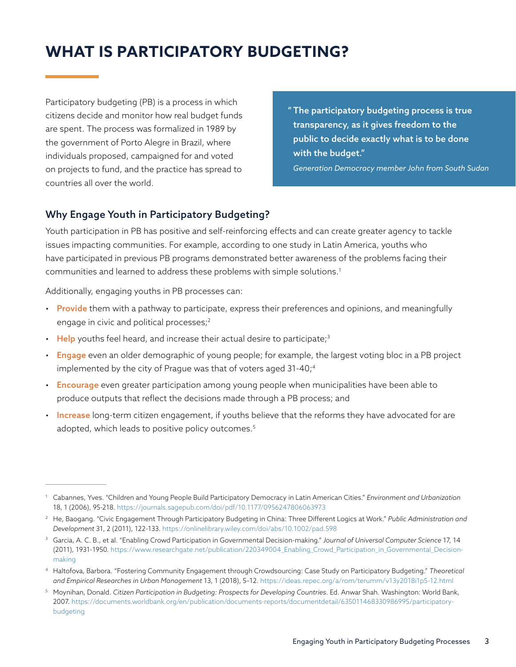# **WHAT IS PARTICIPATORY BUDGETING?**

Participatory budgeting (PB) is a process in which citizens decide and monitor how real budget funds are spent. The process was formalized in 1989 by the government of Porto Alegre in Brazil, where individuals proposed, campaigned for and voted on projects to fund, and the practice has spread to countries all over the world.

" The participatory budgeting process is true transparency, as it gives freedom to the public to decide exactly what is to be done with the budget."

*Generation Democracy member John from South Sudan*

#### Why Engage Youth in Participatory Budgeting?

Youth participation in PB has positive and self-reinforcing effects and can create greater agency to tackle issues impacting communities. For example, according to one study in Latin America, youths who have participated in previous PB programs demonstrated better awareness of the problems facing their communities and learned to address these problems with simple solutions.1

Additionally, engaging youths in PB processes can:

- Provide them with a pathway to participate, express their preferences and opinions, and meaningfully engage in civic and political processes;<sup>2</sup>
- $\cdot$  Help youths feel heard, and increase their actual desire to participate;<sup>3</sup>
- Engage even an older demographic of young people; for example, the largest voting bloc in a PB project implemented by the city of Prague was that of voters aged  $31-40<sub>i</sub>$ <sup>4</sup>
- Encourage even greater participation among young people when municipalities have been able to produce outputs that reflect the decisions made through a PB process; and
- Increase long-term citizen engagement, if youths believe that the reforms they have advocated for are adopted, which leads to positive policy outcomes.<sup>5</sup>

<sup>1</sup> Cabannes, Yves. "Children and Young People Build Participatory Democracy in Latin American Cities." *Environment and Urbanization* 18, 1 (2006), 95-218. https://journals.sagepub.com/doi/pdf/10.1177/0956247806063973

<sup>2</sup> He, Baogang. "Civic Engagement Through Participatory Budgeting in China: Three Different Logics at Work." *Public Administration and Development* 31, 2 (2011), 122-133. https://onlinelibrary.wiley.com/doi/abs/10.1002/pad.598

<sup>3</sup> Garcia, A. C. B., et al. "Enabling Crowd Participation in Governmental Decision-making." *Journal of Universal Computer Science* 17, 14 (2011), 1931-1950. https://www.researchgate.net/publication/220349004\_Enabling\_Crowd\_Participation\_in\_Governmental\_Decisionmaking

<sup>4</sup> Haltofova, Barbora. "Fostering Community Engagement through Crowdsourcing: Case Study on Participatory Budgeting." *Theoretical and Empirical Researches in Urban Management* 13, 1 (2018), 5–12. https://ideas.repec.org/a/rom/terumm/v13y2018i1p5-12.html

<sup>5</sup> Moynihan, Donald. *Citizen Participation in Budgeting: Prospects for Developing Countries*. Ed. Anwar Shah. Washington: World Bank, 2007. https://documents.worldbank.org/en/publication/documents-reports/documentdetail/635011468330986995/participatorybudgeting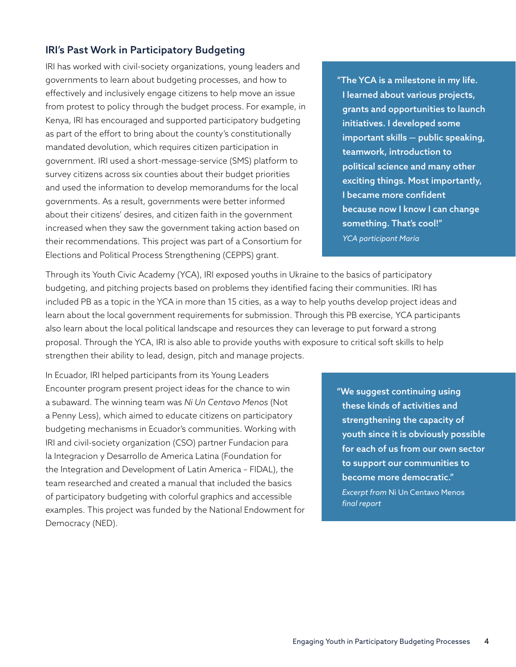#### IRI's Past Work in Participatory Budgeting

IRI has worked with civil-society organizations, young leaders and governments to learn about budgeting processes, and how to effectively and inclusively engage citizens to help move an issue from protest to policy through the budget process. For example, in Kenya, IRI has encouraged and supported participatory budgeting as part of the effort to bring about the county's constitutionally mandated devolution, which requires citizen participation in government. IRI used a short-message-service (SMS) platform to survey citizens across six counties about their budget priorities and used the information to develop memorandums for the local governments. As a result, governments were better informed about their citizens' desires, and citizen faith in the government increased when they saw the government taking action based on their recommendations. This project was part of a Consortium for Elections and Political Process Strengthening (CEPPS) grant.

"The YCA is a milestone in my life. I learned about various projects, grants and opportunities to launch initiatives. I developed some important skills — public speaking, teamwork, introduction to political science and many other exciting things. Most importantly, I became more confident because now I know I can change something. That's cool!" *YCA participant Maria*

Through its Youth Civic Academy (YCA), IRI exposed youths in Ukraine to the basics of participatory budgeting, and pitching projects based on problems they identified facing their communities. IRI has included PB as a topic in the YCA in more than 15 cities, as a way to help youths develop project ideas and learn about the local government requirements for submission. Through this PB exercise, YCA participants also learn about the local political landscape and resources they can leverage to put forward a strong proposal. Through the YCA, IRI is also able to provide youths with exposure to critical soft skills to help strengthen their ability to lead, design, pitch and manage projects.

In Ecuador, IRI helped participants from its Young Leaders Encounter program present project ideas for the chance to win a subaward. The winning team was *Ni Un Centavo Menos* (Not a Penny Less), which aimed to educate citizens on participatory budgeting mechanisms in Ecuador's communities. Working with IRI and civil-society organization (CSO) partner Fundacion para la Integracion y Desarrollo de America Latina (Foundation for the Integration and Development of Latin America – FIDAL), the team researched and created a manual that included the basics of participatory budgeting with colorful graphics and accessible examples. This project was funded by the National Endowment for Democracy (NED).

"We suggest continuing using these kinds of activities and strengthening the capacity of youth since it is obviously possible for each of us from our own sector to support our communities to become more democratic." *Excerpt from* Ni Un Centavo Menos *final report*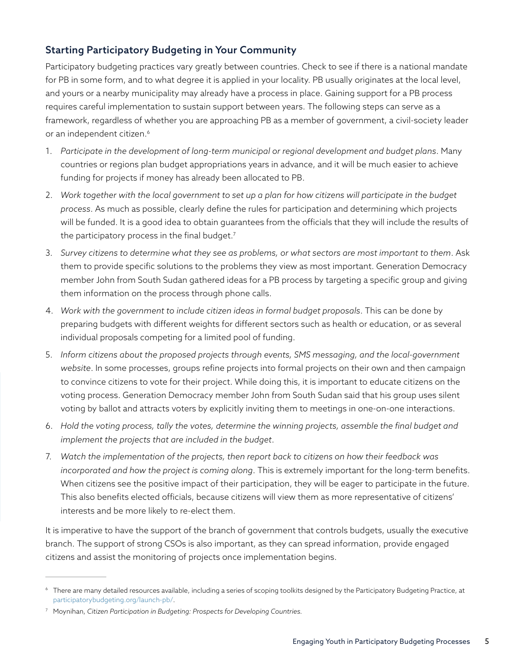#### Starting Participatory Budgeting in Your Community

Participatory budgeting practices vary greatly between countries. Check to see if there is a national mandate for PB in some form, and to what degree it is applied in your locality. PB usually originates at the local level, and yours or a nearby municipality may already have a process in place. Gaining support for a PB process requires careful implementation to sustain support between years. The following steps can serve as a framework, regardless of whether you are approaching PB as a member of government, a civil-society leader or an independent citizen.<sup>6</sup>

- 1. *Participate in the development of long-term municipal or regional development and budget plans*. Many countries or regions plan budget appropriations years in advance, and it will be much easier to achieve funding for projects if money has already been allocated to PB.
- 2. *Work together with the local government to set up a plan for how citizens will participate in the budget process*. As much as possible, clearly define the rules for participation and determining which projects will be funded. It is a good idea to obtain guarantees from the officials that they will include the results of the participatory process in the final budget.<sup>7</sup>
- 3. *Survey citizens to determine what they see as problems, or what sectors are most important to them*. Ask them to provide specific solutions to the problems they view as most important. Generation Democracy member John from South Sudan gathered ideas for a PB process by targeting a specific group and giving them information on the process through phone calls.
- 4. *Work with the government to include citizen ideas in formal budget proposals*. This can be done by preparing budgets with different weights for different sectors such as health or education, or as several individual proposals competing for a limited pool of funding.
- 5. *Inform citizens about the proposed projects through events, SMS messaging, and the local-government website*. In some processes, groups refine projects into formal projects on their own and then campaign to convince citizens to vote for their project. While doing this, it is important to educate citizens on the voting process. Generation Democracy member John from South Sudan said that his group uses silent voting by ballot and attracts voters by explicitly inviting them to meetings in one-on-one interactions.
- 6. *Hold the voting process, tally the votes, determine the winning projects, assemble the final budget and implement the projects that are included in the budget*.
- 7. *Watch the implementation of the projects, then report back to citizens on how their feedback was incorporated and how the project is coming along*. This is extremely important for the long-term benefits. When citizens see the positive impact of their participation, they will be eager to participate in the future. This also benefits elected officials, because citizens will view them as more representative of citizens' interests and be more likely to re-elect them.

It is imperative to have the support of the branch of government that controls budgets, usually the executive branch. The support of strong CSOs is also important, as they can spread information, provide engaged citizens and assist the monitoring of projects once implementation begins.

<sup>&</sup>lt;sup>6</sup> There are many detailed resources available, including a series of scoping toolkits designed by the Participatory Budgeting Practice, at participatorybudgeting.org/launch-pb/.

<sup>7</sup> Moynihan, *Citizen Participation in Budgeting: Prospects for Developing Countries.*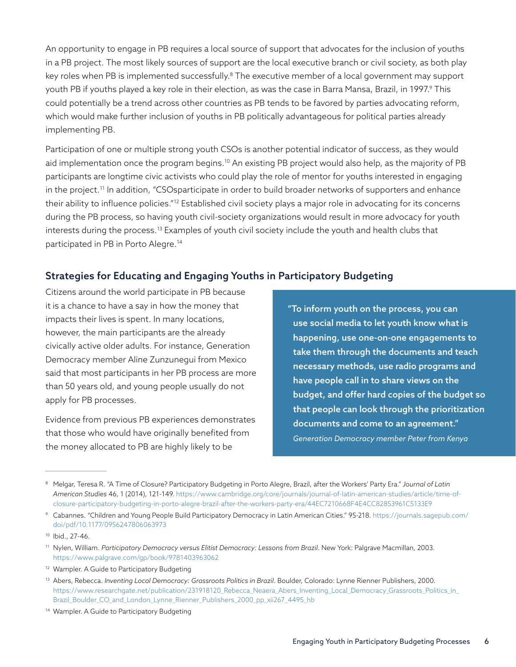An opportunity to engage in PB requires a local source of support that advocates for the inclusion of youths in a PB project. The most likely sources of support are the local executive branch or civil society, as both play key roles when PB is implemented successfully.<sup>8</sup> The executive member of a local government may support youth PB if youths played a key role in their election, as was the case in Barra Mansa, Brazil, in 1997.<sup>9</sup> This could potentially be a trend across other countries as PB tends to be favored by parties advocating reform, which would make further inclusion of youths in PB politically advantageous for political parties already implementing PB.

Participation of one or multiple strong youth CSOs is another potential indicator of success, as they would aid implementation once the program begins.<sup>10</sup> An existing PB project would also help, as the majority of PB participants are longtime civic activists who could play the role of mentor for youths interested in engaging in the project.<sup>11</sup> In addition, "CSOsparticipate in order to build broader networks of supporters and enhance their ability to influence policies."<sup>12</sup> Established civil society plays a major role in advocating for its concerns during the PB process, so having youth civil-society organizations would result in more advocacy for youth interests during the process.13 Examples of youth civil society include the youth and health clubs that participated in PB in Porto Alegre.<sup>14</sup>

#### Strategies for Educating and Engaging Youths in Participatory Budgeting

Citizens around the world participate in PB because it is a chance to have a say in how the money that impacts their lives is spent. In many locations, however, the main participants are the already civically active older adults. For instance, Generation Democracy member Aline Zunzunegui from Mexico said that most participants in her PB process are more than 50 years old, and young people usually do not apply for PB processes.

Evidence from previous PB experiences demonstrates that those who would have originally benefited from the money allocated to PB are highly likely to be

"To inform youth on the process, you can use social media to let youth know what is happening, use one-on-one engagements to take them through the documents and teach necessary methods, use radio programs and have people call in to share views on the budget, and offer hard copies of the budget so that people can look through the prioritization documents and come to an agreement." *Generation Democracy member Peter from Kenya*

<sup>8</sup> Melgar, Teresa R. "A Time of Closure? Participatory Budgeting in Porto Alegre, Brazil, after the Workers' Party Era." *Journal of Latin American Studies* 46, 1 (2014), 121-149. https://www.cambridge.org/core/journals/journal-of-latin-american-studies/article/time-ofclosure-participatory-budgeting-in-porto-alegre-brazil-after-the-workers-party-era/44EC7210668F4E4CC82853961C5133E9

<sup>9</sup> Cabannes. "Children and Young People Build Participatory Democracy in Latin American Cities." 95-218. https://journals.sagepub.com/ doi/pdf/10.1177/0956247806063973

<sup>10</sup> Ibid., 27-46.

<sup>11</sup> Nylen, William. *Participatory Democracy versus Elitist Democracy: Lessons from Brazil*. New York: Palgrave Macmillan, 2003. https://www.palgrave.com/gp/book/9781403963062

<sup>&</sup>lt;sup>12</sup> Wampler. A Guide to Participatory Budgeting

<sup>&</sup>lt;sup>13</sup> Abers, Rebecca. *Inventing Local Democracy: Grassroots Politics in Brazil*. Boulder, Colorado: Lynne Rienner Publishers, 2000. https://www.researchgate.net/publication/231918120\_Rebecca\_Neaera\_Abers\_Inventing\_Local\_Democracy\_Grassroots\_Politics\_in\_ Brazil\_Boulder\_CO\_and\_London\_Lynne\_Rienner\_Publishers\_2000\_pp\_xii267\_4495\_hb

<sup>14</sup> Wampler. A Guide to Participatory Budgeting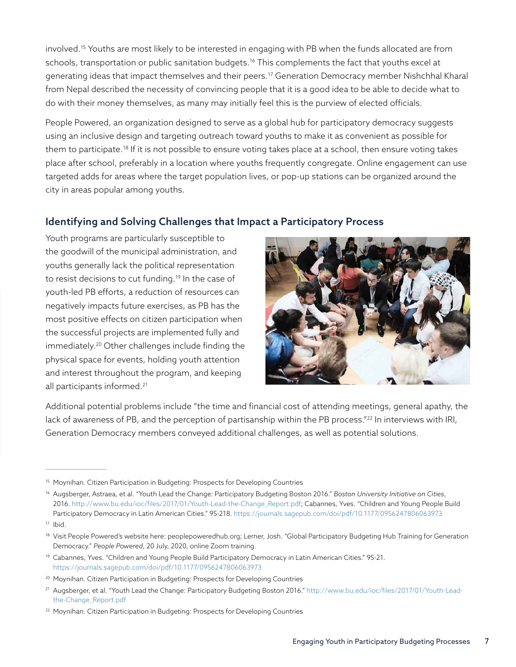involved.15 Youths are most likely to be interested in engaging with PB when the funds allocated are from schools, transportation or public sanitation budgets.<sup>16</sup> This complements the fact that youths excel at generating ideas that impact themselves and their peers.17 Generation Democracy member Nishchhal Kharal from Nepal described the necessity of convincing people that it is a good idea to be able to decide what to do with their money themselves, as many may initially feel this is the purview of elected officials.

People Powered, an organization designed to serve as a global hub for participatory democracy suggests using an inclusive design and targeting outreach toward youths to make it as convenient as possible for them to participate.18 If it is not possible to ensure voting takes place at a school, then ensure voting takes place after school, preferably in a location where youths frequently congregate. Online engagement can use targeted adds for areas where the target population lives, or pop-up stations can be organized around the city in areas popular among youths.

#### Identifying and Solving Challenges that Impact a Participatory Process

Youth programs are particularly susceptible to the goodwill of the municipal administration, and youths generally lack the political representation to resist decisions to cut funding.<sup>19</sup> In the case of youth-led PB efforts, a reduction of resources can negatively impacts future exercises, as PB has the most positive effects on citizen participation when the successful projects are implemented fully and immediately.20 Other challenges include finding the physical space for events, holding youth attention and interest throughout the program, and keeping all participants informed.<sup>21</sup>



Additional potential problems include "the time and financial cost of attending meetings, general apathy, the lack of awareness of PB, and the perception of partisanship within the PB process."22 In interviews with IRI, Generation Democracy members conveyed additional challenges, as well as potential solutions.

<sup>&</sup>lt;sup>15</sup> Moynihan. Citizen Participation in Budgeting: Prospects for Developing Countries

<sup>16</sup> Augsberger, Astraea, et al. "Youth Lead the Change: Participatory Budgeting Boston 2016." *Boston University Initiative on Cities*, 2016. http://www.bu.edu/ioc/files/2017/01/Youth-Lead-the-Change\_Report.pdf; Cabannes, Yves. "Children and Young People Build Participatory Democracy in Latin American Cities." 95-218. https://journals.sagepub.com/doi/pdf/10.1177/0956247806063973

<sup>17</sup> Ibid.

<sup>18</sup> Visit People Powered's website here: peoplepoweredhub.org; Lerner, Josh. "Global Participatory Budgeting Hub Training for Generation Democracy." *People Powered*, 20 July, 2020, online Zoom training.

<sup>&</sup>lt;sup>19</sup> Cabannes, Yves. "Children and Young People Build Participatory Democracy in Latin American Cities." 95-21. https://journals.sagepub.com/doi/pdf/10.1177/0956247806063973

<sup>20</sup> Moynihan. Citizen Participation in Budgeting: Prospects for Developing Countries

<sup>&</sup>lt;sup>21</sup> Augsberger, et al. "Youth Lead the Change: Participatory Budgeting Boston 2016." http://www.bu.edu/ioc/files/2017/01/Youth-Leadthe-Change\_Report.pdf

<sup>&</sup>lt;sup>22</sup> Moynihan. Citizen Participation in Budgeting: Prospects for Developing Countries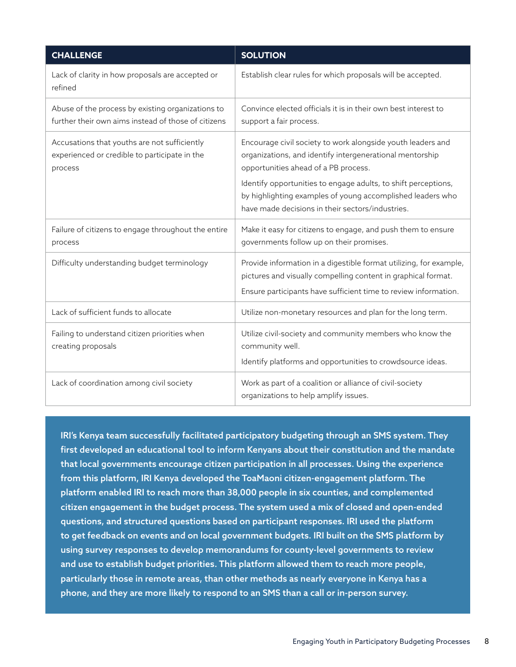| <b>CHALLENGE</b>                                                                                         | <b>SOLUTION</b>                                                                                                                                                                                                                                                                                                                                     |
|----------------------------------------------------------------------------------------------------------|-----------------------------------------------------------------------------------------------------------------------------------------------------------------------------------------------------------------------------------------------------------------------------------------------------------------------------------------------------|
| Lack of clarity in how proposals are accepted or<br>refined                                              | Establish clear rules for which proposals will be accepted.                                                                                                                                                                                                                                                                                         |
| Abuse of the process by existing organizations to<br>further their own aims instead of those of citizens | Convince elected officials it is in their own best interest to<br>support a fair process.                                                                                                                                                                                                                                                           |
| Accusations that youths are not sufficiently<br>experienced or credible to participate in the<br>process | Encourage civil society to work alongside youth leaders and<br>organizations, and identify intergenerational mentorship<br>opportunities ahead of a PB process.<br>Identify opportunities to engage adults, to shift perceptions,<br>by highlighting examples of young accomplished leaders who<br>have made decisions in their sectors/industries. |
| Failure of citizens to engage throughout the entire<br>process                                           | Make it easy for citizens to engage, and push them to ensure<br>governments follow up on their promises.                                                                                                                                                                                                                                            |
| Difficulty understanding budget terminology                                                              | Provide information in a digestible format utilizing, for example,<br>pictures and visually compelling content in graphical format.<br>Ensure participants have sufficient time to review information.                                                                                                                                              |
| Lack of sufficient funds to allocate                                                                     | Utilize non-monetary resources and plan for the long term.                                                                                                                                                                                                                                                                                          |
| Failing to understand citizen priorities when<br>creating proposals                                      | Utilize civil-society and community members who know the<br>community well.<br>Identify platforms and opportunities to crowdsource ideas.                                                                                                                                                                                                           |
| Lack of coordination among civil society                                                                 | Work as part of a coalition or alliance of civil-society<br>organizations to help amplify issues.                                                                                                                                                                                                                                                   |

IRI's Kenya team successfully facilitated participatory budgeting through an SMS system. They first developed an educational tool to inform Kenyans about their constitution and the mandate that local governments encourage citizen participation in all processes. Using the experience from this platform, IRI Kenya developed the ToaMaoni citizen-engagement platform. The platform enabled IRI to reach more than 38,000 people in six counties, and complemented citizen engagement in the budget process. The system used a mix of closed and open-ended questions, and structured questions based on participant responses. IRI used the platform to get feedback on events and on local government budgets. IRI built on the SMS platform by using survey responses to develop memorandums for county-level governments to review and use to establish budget priorities. This platform allowed them to reach more people, particularly those in remote areas, than other methods as nearly everyone in Kenya has a phone, and they are more likely to respond to an SMS than a call or in-person survey.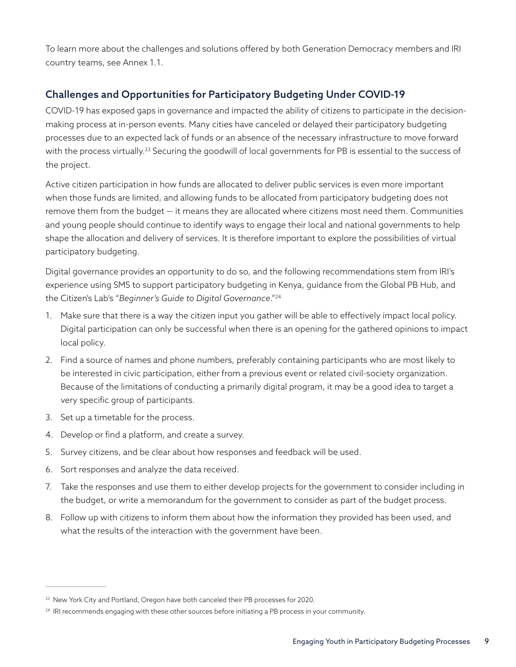To learn more about the challenges and solutions offered by both Generation Democracy members and IRI country teams, see Annex 1.1.

#### Challenges and Opportunities for Participatory Budgeting Under COVID-19

COVID-19 has exposed gaps in governance and impacted the ability of citizens to participate in the decisionmaking process at in-person events. Many cities have canceled or delayed their participatory budgeting processes due to an expected lack of funds or an absence of the necessary infrastructure to move forward with the process virtually.<sup>23</sup> Securing the goodwill of local governments for PB is essential to the success of the project.

Active citizen participation in how funds are allocated to deliver public services is even more important when those funds are limited, and allowing funds to be allocated from participatory budgeting does not remove them from the budget — it means they are allocated where citizens most need them. Communities and young people should continue to identify ways to engage their local and national governments to help shape the allocation and delivery of services. It is therefore important to explore the possibilities of virtual participatory budgeting.

Digital governance provides an opportunity to do so, and the following recommendations stem from IRI's experience using SMS to support participatory budgeting in Kenya, guidance from the Global PB Hub, and the Citizen's Lab's "*Beginner's Guide to Digital Governance*."24

- 1. Make sure that there is a way the citizen input you gather will be able to effectively impact local policy. Digital participation can only be successful when there is an opening for the gathered opinions to impact local policy.
- 2. Find a source of names and phone numbers, preferably containing participants who are most likely to be interested in civic participation, either from a previous event or related civil-society organization. Because of the limitations of conducting a primarily digital program, it may be a good idea to target a very specific group of participants.
- 3. Set up a timetable for the process.
- 4. Develop or find a platform, and create a survey.
- 5. Survey citizens, and be clear about how responses and feedback will be used.
- 6. Sort responses and analyze the data received.
- 7. Take the responses and use them to either develop projects for the government to consider including in the budget, or write a memorandum for the government to consider as part of the budget process.
- 8. Follow up with citizens to inform them about how the information they provided has been used, and what the results of the interaction with the government have been.

<sup>&</sup>lt;sup>23</sup> New York City and Portland, Oregon have both canceled their PB processes for 2020.

<sup>&</sup>lt;sup>24</sup> IRI recommends engaging with these other sources before initiating a PB process in your community.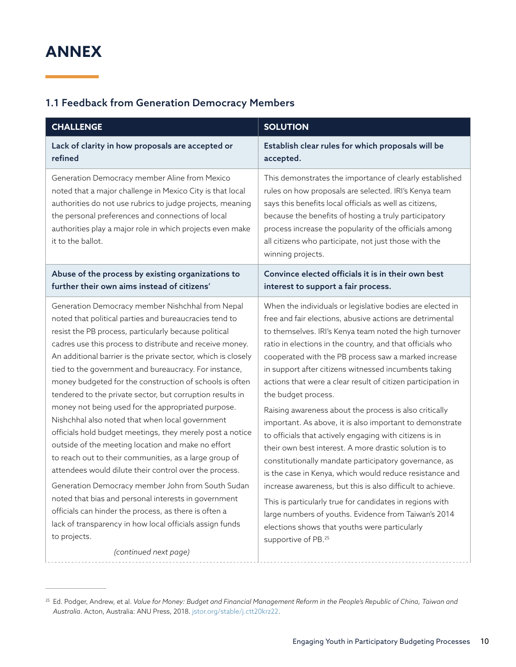## **ANNEX**

#### 1.1 Feedback from Generation Democracy Members

| <b>CHALLENGE</b>                                                                                                                                                                                                                                                                                                                                                                                                                                                                                                                                                                                                                                                                                                                                                                                                                                                                                                                                                                                                                                                                                             | <b>SOLUTION</b>                                                                                                                                                                                                                                                                                                                                                                                                                                                                                                                                                                                                                                                                                                                                                                                                                                                                                                                                                                                                                                                                            |
|--------------------------------------------------------------------------------------------------------------------------------------------------------------------------------------------------------------------------------------------------------------------------------------------------------------------------------------------------------------------------------------------------------------------------------------------------------------------------------------------------------------------------------------------------------------------------------------------------------------------------------------------------------------------------------------------------------------------------------------------------------------------------------------------------------------------------------------------------------------------------------------------------------------------------------------------------------------------------------------------------------------------------------------------------------------------------------------------------------------|--------------------------------------------------------------------------------------------------------------------------------------------------------------------------------------------------------------------------------------------------------------------------------------------------------------------------------------------------------------------------------------------------------------------------------------------------------------------------------------------------------------------------------------------------------------------------------------------------------------------------------------------------------------------------------------------------------------------------------------------------------------------------------------------------------------------------------------------------------------------------------------------------------------------------------------------------------------------------------------------------------------------------------------------------------------------------------------------|
| Lack of clarity in how proposals are accepted or<br>refined                                                                                                                                                                                                                                                                                                                                                                                                                                                                                                                                                                                                                                                                                                                                                                                                                                                                                                                                                                                                                                                  | Establish clear rules for which proposals will be<br>accepted.                                                                                                                                                                                                                                                                                                                                                                                                                                                                                                                                                                                                                                                                                                                                                                                                                                                                                                                                                                                                                             |
| Generation Democracy member Aline from Mexico<br>noted that a major challenge in Mexico City is that local<br>authorities do not use rubrics to judge projects, meaning<br>the personal preferences and connections of local<br>authorities play a major role in which projects even make<br>it to the ballot.                                                                                                                                                                                                                                                                                                                                                                                                                                                                                                                                                                                                                                                                                                                                                                                               | This demonstrates the importance of clearly established<br>rules on how proposals are selected. IRI's Kenya team<br>says this benefits local officials as well as citizens,<br>because the benefits of hosting a truly participatory<br>process increase the popularity of the officials among<br>all citizens who participate, not just those with the<br>winning projects.                                                                                                                                                                                                                                                                                                                                                                                                                                                                                                                                                                                                                                                                                                               |
| Abuse of the process by existing organizations to<br>further their own aims instead of citizens'                                                                                                                                                                                                                                                                                                                                                                                                                                                                                                                                                                                                                                                                                                                                                                                                                                                                                                                                                                                                             | Convince elected officials it is in their own best<br>interest to support a fair process.                                                                                                                                                                                                                                                                                                                                                                                                                                                                                                                                                                                                                                                                                                                                                                                                                                                                                                                                                                                                  |
| Generation Democracy member Nishchhal from Nepal<br>noted that political parties and bureaucracies tend to<br>resist the PB process, particularly because political<br>cadres use this process to distribute and receive money.<br>An additional barrier is the private sector, which is closely<br>tied to the government and bureaucracy. For instance,<br>money budgeted for the construction of schools is often<br>tendered to the private sector, but corruption results in<br>money not being used for the appropriated purpose.<br>Nishchhal also noted that when local government<br>officials hold budget meetings, they merely post a notice<br>outside of the meeting location and make no effort<br>to reach out to their communities, as a large group of<br>attendees would dilute their control over the process.<br>Generation Democracy member John from South Sudan<br>noted that bias and personal interests in government<br>officials can hinder the process, as there is often a<br>lack of transparency in how local officials assign funds<br>to projects.<br>(continued next page) | When the individuals or legislative bodies are elected in<br>free and fair elections, abusive actions are detrimental<br>to themselves. IRI's Kenya team noted the high turnover<br>ratio in elections in the country, and that officials who<br>cooperated with the PB process saw a marked increase<br>in support after citizens witnessed incumbents taking<br>actions that were a clear result of citizen participation in<br>the budget process.<br>Raising awareness about the process is also critically<br>important. As above, it is also important to demonstrate<br>to officials that actively engaging with citizens is in<br>their own best interest. A more drastic solution is to<br>constitutionally mandate participatory governance, as<br>is the case in Kenya, which would reduce resistance and<br>increase awareness, but this is also difficult to achieve.<br>This is particularly true for candidates in regions with<br>large numbers of youths. Evidence from Taiwan's 2014<br>elections shows that youths were particularly<br>supportive of PB. <sup>25</sup> |

<sup>25</sup> Ed. Podger, Andrew, et al. *Value for Money: Budget and Financial Management Reform in the People's Republic of China, Taiwan and Australia*. Acton, Australia: ANU Press, 2018. jstor.org/stable/j.ctt20krz22.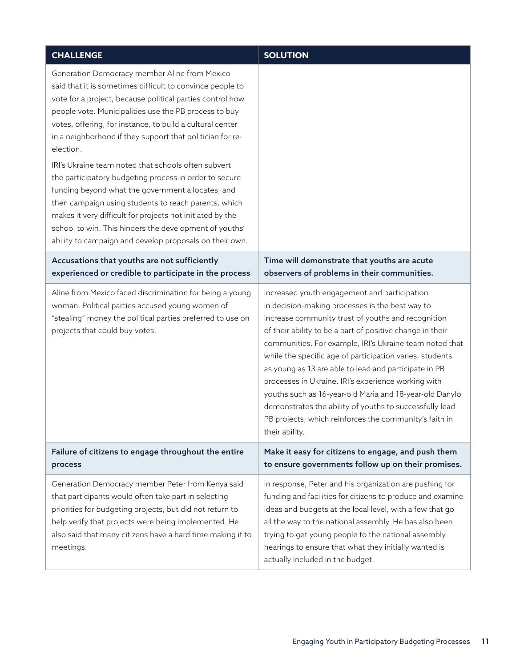| <b>CHALLENGE</b>                                                                                                                                                                                                                                                                                                                                                                                                                                                                                                                                                                                                                                                                                                                                                                        | <b>SOLUTION</b>                                                                                                                                                                                                                                                                                                                                                                                                                                                                                                                                                                                                                                             |
|-----------------------------------------------------------------------------------------------------------------------------------------------------------------------------------------------------------------------------------------------------------------------------------------------------------------------------------------------------------------------------------------------------------------------------------------------------------------------------------------------------------------------------------------------------------------------------------------------------------------------------------------------------------------------------------------------------------------------------------------------------------------------------------------|-------------------------------------------------------------------------------------------------------------------------------------------------------------------------------------------------------------------------------------------------------------------------------------------------------------------------------------------------------------------------------------------------------------------------------------------------------------------------------------------------------------------------------------------------------------------------------------------------------------------------------------------------------------|
| Generation Democracy member Aline from Mexico<br>said that it is sometimes difficult to convince people to<br>vote for a project, because political parties control how<br>people vote. Municipalities use the PB process to buy<br>votes, offering, for instance, to build a cultural center<br>in a neighborhood if they support that politician for re-<br>election.<br>IRI's Ukraine team noted that schools often subvert<br>the participatory budgeting process in order to secure<br>funding beyond what the government allocates, and<br>then campaign using students to reach parents, which<br>makes it very difficult for projects not initiated by the<br>school to win. This hinders the development of youths'<br>ability to campaign and develop proposals on their own. |                                                                                                                                                                                                                                                                                                                                                                                                                                                                                                                                                                                                                                                             |
| Accusations that youths are not sufficiently<br>experienced or credible to participate in the process                                                                                                                                                                                                                                                                                                                                                                                                                                                                                                                                                                                                                                                                                   | Time will demonstrate that youths are acute<br>observers of problems in their communities.                                                                                                                                                                                                                                                                                                                                                                                                                                                                                                                                                                  |
| Aline from Mexico faced discrimination for being a young<br>woman. Political parties accused young women of<br>"stealing" money the political parties preferred to use on<br>projects that could buy votes.                                                                                                                                                                                                                                                                                                                                                                                                                                                                                                                                                                             | Increased youth engagement and participation<br>in decision-making processes is the best way to<br>increase community trust of youths and recognition<br>of their ability to be a part of positive change in their<br>communities. For example, IRI's Ukraine team noted that<br>while the specific age of participation varies, students<br>as young as 13 are able to lead and participate in PB<br>processes in Ukraine. IRI's experience working with<br>youths such as 16-year-old Maria and 18-year-old Danylo<br>demonstrates the ability of youths to successfully lead<br>PB projects, which reinforces the community's faith in<br>their ability. |
| Failure of citizens to engage throughout the entire<br>process                                                                                                                                                                                                                                                                                                                                                                                                                                                                                                                                                                                                                                                                                                                          | Make it easy for citizens to engage, and push them<br>to ensure governments follow up on their promises.                                                                                                                                                                                                                                                                                                                                                                                                                                                                                                                                                    |
| Generation Democracy member Peter from Kenya said<br>that participants would often take part in selecting<br>priorities for budgeting projects, but did not return to<br>help verify that projects were being implemented. He<br>also said that many citizens have a hard time making it to<br>meetings.                                                                                                                                                                                                                                                                                                                                                                                                                                                                                | In response, Peter and his organization are pushing for<br>funding and facilities for citizens to produce and examine<br>ideas and budgets at the local level, with a few that go<br>all the way to the national assembly. He has also been<br>trying to get young people to the national assembly<br>hearings to ensure that what they initially wanted is<br>actually included in the budget.                                                                                                                                                                                                                                                             |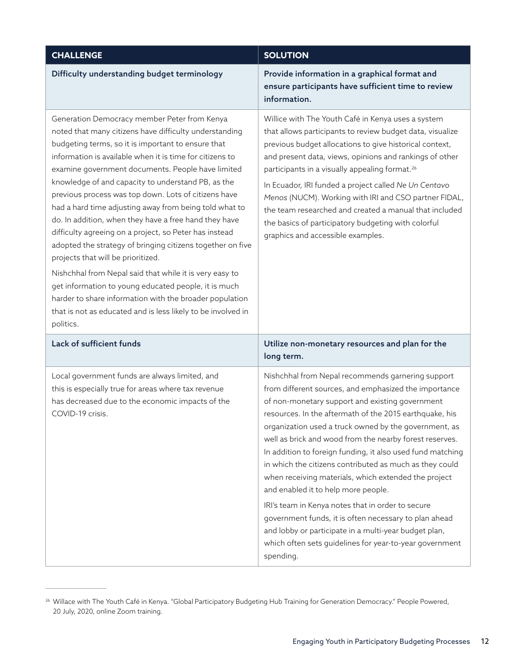| <b>CHALLENGE</b>                                                                                                                                                                                                                                                                                                                                                                                                                                                                                                                                                                                                                                                                                                                                                                                                                                                                                                                        | <b>SOLUTION</b>                                                                                                                                                                                                                                                                                                                                                                                                                                                                                                                                                                                                                                                                                                                                                                                                     |
|-----------------------------------------------------------------------------------------------------------------------------------------------------------------------------------------------------------------------------------------------------------------------------------------------------------------------------------------------------------------------------------------------------------------------------------------------------------------------------------------------------------------------------------------------------------------------------------------------------------------------------------------------------------------------------------------------------------------------------------------------------------------------------------------------------------------------------------------------------------------------------------------------------------------------------------------|---------------------------------------------------------------------------------------------------------------------------------------------------------------------------------------------------------------------------------------------------------------------------------------------------------------------------------------------------------------------------------------------------------------------------------------------------------------------------------------------------------------------------------------------------------------------------------------------------------------------------------------------------------------------------------------------------------------------------------------------------------------------------------------------------------------------|
| Difficulty understanding budget terminology                                                                                                                                                                                                                                                                                                                                                                                                                                                                                                                                                                                                                                                                                                                                                                                                                                                                                             | Provide information in a graphical format and<br>ensure participants have sufficient time to review<br>information.                                                                                                                                                                                                                                                                                                                                                                                                                                                                                                                                                                                                                                                                                                 |
| Generation Democracy member Peter from Kenya<br>noted that many citizens have difficulty understanding<br>budgeting terms, so it is important to ensure that<br>information is available when it is time for citizens to<br>examine government documents. People have limited<br>knowledge of and capacity to understand PB, as the<br>previous process was top down. Lots of citizens have<br>had a hard time adjusting away from being told what to<br>do. In addition, when they have a free hand they have<br>difficulty agreeing on a project, so Peter has instead<br>adopted the strategy of bringing citizens together on five<br>projects that will be prioritized.<br>Nishchhal from Nepal said that while it is very easy to<br>get information to young educated people, it is much<br>harder to share information with the broader population<br>that is not as educated and is less likely to be involved in<br>politics. | Willice with The Youth Café in Kenya uses a system<br>that allows participants to review budget data, visualize<br>previous budget allocations to give historical context,<br>and present data, views, opinions and rankings of other<br>participants in a visually appealing format. <sup>26</sup><br>In Ecuador, IRI funded a project called Ne Un Centavo<br>Menos (NUCM). Working with IRI and CSO partner FIDAL,<br>the team researched and created a manual that included<br>the basics of participatory budgeting with colorful<br>graphics and accessible examples.                                                                                                                                                                                                                                         |
| Lack of sufficient funds                                                                                                                                                                                                                                                                                                                                                                                                                                                                                                                                                                                                                                                                                                                                                                                                                                                                                                                | Utilize non-monetary resources and plan for the<br>long term.                                                                                                                                                                                                                                                                                                                                                                                                                                                                                                                                                                                                                                                                                                                                                       |
| Local government funds are always limited, and<br>this is especially true for areas where tax revenue<br>has decreased due to the economic impacts of the<br>COVID-19 crisis.                                                                                                                                                                                                                                                                                                                                                                                                                                                                                                                                                                                                                                                                                                                                                           | Nishchhal from Nepal recommends garnering support<br>from different sources, and emphasized the importance<br>of non-monetary support and existing government<br>resources. In the aftermath of the 2015 earthquake, his<br>organization used a truck owned by the government, as<br>well as brick and wood from the nearby forest reserves.<br>In addition to foreign funding, it also used fund matching<br>in which the citizens contributed as much as they could<br>when receiving materials, which extended the project<br>and enabled it to help more people.<br>IRI's team in Kenya notes that in order to secure<br>government funds, it is often necessary to plan ahead<br>and lobby or participate in a multi-year budget plan,<br>which often sets guidelines for year-to-year government<br>spending. |

<sup>&</sup>lt;sup>26</sup> Willace with The Youth Café in Kenya. "Global Participatory Budgeting Hub Training for Generation Democracy." People Powered, 20 July, 2020, online Zoom training.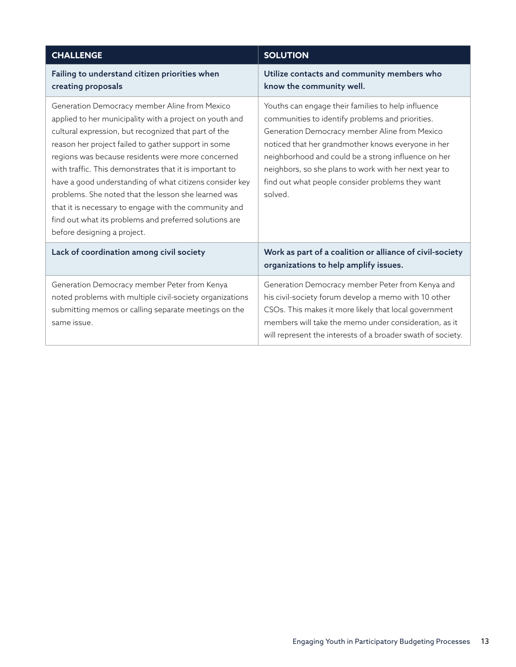| <b>CHALLENGE</b>                                                                                                                                                                                                                                                                                                                                                                                                                                                                                                                                                                                            | <b>SOLUTION</b>                                                                                                                                                                                                                                                                                                                                                                              |
|-------------------------------------------------------------------------------------------------------------------------------------------------------------------------------------------------------------------------------------------------------------------------------------------------------------------------------------------------------------------------------------------------------------------------------------------------------------------------------------------------------------------------------------------------------------------------------------------------------------|----------------------------------------------------------------------------------------------------------------------------------------------------------------------------------------------------------------------------------------------------------------------------------------------------------------------------------------------------------------------------------------------|
| Failing to understand citizen priorities when<br>creating proposals                                                                                                                                                                                                                                                                                                                                                                                                                                                                                                                                         | Utilize contacts and community members who<br>know the community well.                                                                                                                                                                                                                                                                                                                       |
| Generation Democracy member Aline from Mexico<br>applied to her municipality with a project on youth and<br>cultural expression, but recognized that part of the<br>reason her project failed to gather support in some<br>regions was because residents were more concerned<br>with traffic. This demonstrates that it is important to<br>have a good understanding of what citizens consider key<br>problems. She noted that the lesson she learned was<br>that it is necessary to engage with the community and<br>find out what its problems and preferred solutions are<br>before designing a project. | Youths can engage their families to help influence<br>communities to identify problems and priorities.<br>Generation Democracy member Aline from Mexico<br>noticed that her grandmother knows everyone in her<br>neighborhood and could be a strong influence on her<br>neighbors, so she plans to work with her next year to<br>find out what people consider problems they want<br>solved. |
| Lack of coordination among civil society                                                                                                                                                                                                                                                                                                                                                                                                                                                                                                                                                                    | Work as part of a coalition or alliance of civil-society<br>organizations to help amplify issues.                                                                                                                                                                                                                                                                                            |
| Generation Democracy member Peter from Kenya<br>noted problems with multiple civil-society organizations<br>submitting memos or calling separate meetings on the<br>same issue.                                                                                                                                                                                                                                                                                                                                                                                                                             | Generation Democracy member Peter from Kenya and<br>his civil-society forum develop a memo with 10 other<br>CSOs. This makes it more likely that local government<br>members will take the memo under consideration, as it<br>will represent the interests of a broader swath of society.                                                                                                    |